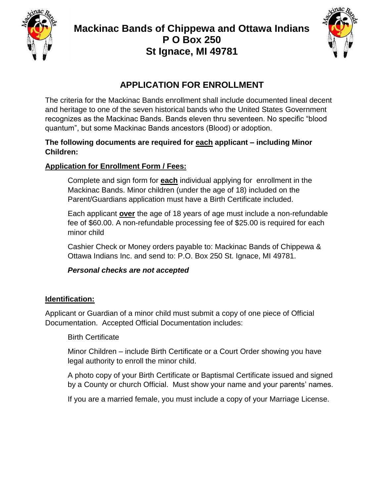



## **APPLICATION FOR ENROLLMENT**

The criteria for the Mackinac Bands enrollment shall include documented lineal decent and heritage to one of the seven historical bands who the United States Government recognizes as the Mackinac Bands. Bands eleven thru seventeen. No specific "blood quantum", but some Mackinac Bands ancestors (Blood) or adoption.

#### **The following documents are required for each applicant – including Minor Children:**

## **Application for Enrollment Form / Fees:**

Complete and sign form for **each** individual applying for enrollment in the Mackinac Bands. Minor children (under the age of 18) included on the Parent/Guardians application must have a Birth Certificate included.

Each applicant **over** the age of 18 years of age must include a non-refundable fee of \$60.00. A non-refundable processing fee of \$25.00 is required for each minor child

Cashier Check or Money orders payable to: Mackinac Bands of Chippewa & Ottawa Indians Inc. and send to: P.O. Box 250 St. Ignace, MI 49781.

#### *Personal checks are not accepted*

#### **Identification:**

Applicant or Guardian of a minor child must submit a copy of one piece of Official Documentation. Accepted Official Documentation includes:

#### Birth Certificate

Minor Children – include Birth Certificate or a Court Order showing you have legal authority to enroll the minor child.

A photo copy of your Birth Certificate or Baptismal Certificate issued and signed by a County or church Official. Must show your name and your parents' names.

If you are a married female, you must include a copy of your Marriage License.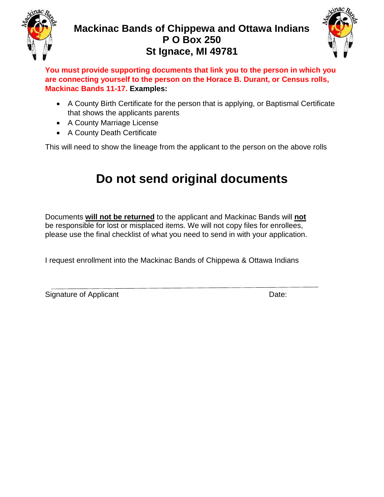



**You must provide supporting documents that link you to the person in which you are connecting yourself to the person on the Horace B. Durant, or Census rolls, Mackinac Bands 11-17. Examples:**

- A County Birth Certificate for the person that is applying, or Baptismal Certificate that shows the applicants parents
- A County Marriage License
- A County Death Certificate

This will need to show the lineage from the applicant to the person on the above rolls

# **Do not send original documents**

Documents **will not be returned** to the applicant and Mackinac Bands will **not** be responsible for lost or misplaced items. We will not copy files for enrollees, please use the final checklist of what you need to send in with your application.

I request enrollment into the Mackinac Bands of Chippewa & Ottawa Indians

Signature of Applicant **Date:** Date: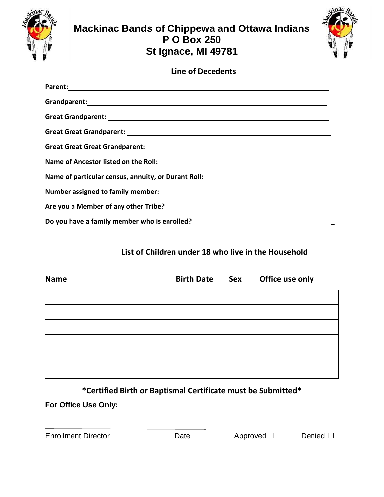



## **Line of Decedents**

| Parent: North Communication of the Communication of the Communication of the Communication of the Communication of the Communication of the Communication of the Communication of the Communication of the Communication of th |
|--------------------------------------------------------------------------------------------------------------------------------------------------------------------------------------------------------------------------------|
|                                                                                                                                                                                                                                |
|                                                                                                                                                                                                                                |
|                                                                                                                                                                                                                                |
|                                                                                                                                                                                                                                |
|                                                                                                                                                                                                                                |
| Name of particular census, annuity, or Durant Roll: ____________________________                                                                                                                                               |
|                                                                                                                                                                                                                                |
|                                                                                                                                                                                                                                |
| Do you have a family member who is enrolled? ___________________________________                                                                                                                                               |

## **List of Children under 18 who live in the Household**

| <b>Name</b> | <b>Birth Date Sex</b> | Office use only |
|-------------|-----------------------|-----------------|
|             |                       |                 |
|             |                       |                 |
|             |                       |                 |
|             |                       |                 |
|             |                       |                 |
|             |                       |                 |

**\*Certified Birth or Baptismal Certificate must be Submitted\***

**For Office Use Only:**

Enrollment Director Date Approved ☐ Denied ☐